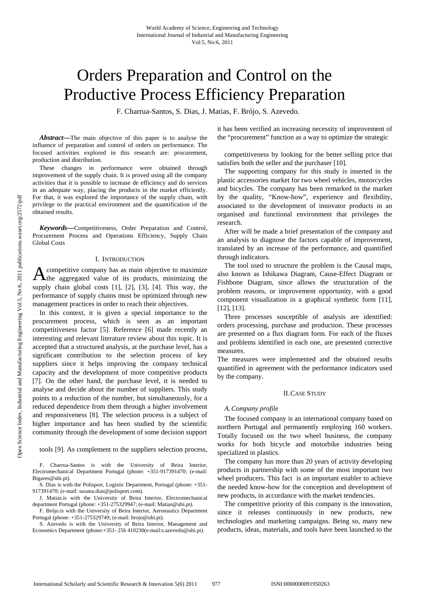# Orders Preparation and Control on the Productive Process Efficiency Preparation

F. Charrua-Santos, S. Dias, J. Matias, F. Brójo, S. Azevedo.

*Abstract***—**The main objective of this paper is to analyse the influence of preparation and control of orders on performance. The focused activities explored in this research are: procurement, production and distribution.

These changes in performance were obtained through improvement of the supply chain. It is proved using all the company activities that it is possible to increase de efficiency and do services in an adequate way, placing the products in the market efficiently. For that, it was explored the importance of the supply chain, with privilege to the practical environment and the quantification of the obtained results.

*Keywords***—**Competitiveness, Order Preparation and Control, Procurement Process and Operations Efficiency, Supply Chain Global Costs

## I. INTRODUCTION

competitive company has as main objective to maximize  $A$  competitive company has as main objective to maximize the aggregated value of its products, minimizing the supply chain global costs [1], [2], [3], [4]. This way, the performance of supply chains must be optimized through new management practices in order to reach their objectives.

In this context, it is given a special importance to the procurement process, which is seen as an important competitiveness factor [5]. Reference [6] made recently an interesting and relevant literature review about this topic. It is accepted that a structured analysis, at the purchase level, has a significant contribution to the selection process of key suppliers since it helps improving the company technical capacity and the development of more competitive products [7]. On the other hand, the purchase level, it is needed to analyse and decide about the number of suppliers. This study points to a reduction of the number, but simultaneously, for a reduced dependence from them through a higher involvement and responsiveness [8]. The selection process is a subject of higher importance and has been studied by the scientific community through the development of some decision support

# tools [9]. As complement to the suppliers selection process,

F. Charrua-Santos is with the University of Beira Interior, Electromechanical Department Portugal (phone: +351-917391470; (e-mail: Bigares@ubi.pt).

S. Dias is with the Polisport, Logistic Department, Portugal (phone: +351- 917391470; (e-mail: susana.dias@polisport.com).

J. Matias.is with the University of Beira Interior, Electromechanical department Portugal (phone: +351-275329947; (e-mail: Matias@ubi.pt).

F. Brójo.is with the University of Beira Interior, Aeronautics Department Portugal (phone: +351-275329749; (e-mail: brojo@ubi.pt).

S. Azevedo is with the University of Beira Interior, Management and Economics Department (phone:+351- 256 410230(e-mail:s.azevedo@ubi.pt).

it has been verified an increasing necessity of improvement of the "procurement" function as a way to optimize the strategic

competitiveness by looking for the better selling price that satisfies both the seller and the purchaser [10].

The supporting company for this study is inserted in the plastic accessories market for two wheel vehicles, motorcycles and bicycles. The company has been remarked in the market by the quality, "Know-how", experience and flexibility, associated to the development of innovator products in an organised and functional environment that privileges the research.

After will be made a brief presentation of the company and an analysis to diagnose the factors capable of improvement, translated by an increase of the performance, and quantified through indicators.

The tool used to structure the problem is the Causal maps, also known as Ishikawa Diagram, Cause-Effect Diagram or Fishbone Diagram, since allows the structuration of the problem reasons, or improvement opportunity, with a good component visualization in a graphical synthetic form [11], [12], [13].

Three processes susceptible of analysis are identified: orders processing, purchase and production. These processes are presented on a flux diagram form. For each of the fluxes and problems identified in each one, are presented corrective measures.

The measures were implemented and the obtained results quantified in agreement with the performance indicators used by the company.

## II.CASE STUDY

## *A.Company profile*

The focused company is an international company based on northern Portugal and permanently employing 160 workers. Totally focused on the two wheel business, the company works for both bicycle and motorbike industries being specialized in plastics.

The company has more than 20 years of activity developing products in partnership with some of the most important two wheel producers. This fact is an important enabler to achieve the needed know-how for the conception and development of new products, in accordance with the market tendencies.

The competitive priority of this company is the innovation, since it releases continuously in new products, new technologies and marketing campaigns. Being so, many new products, ideas, materials, and tools have been launched to the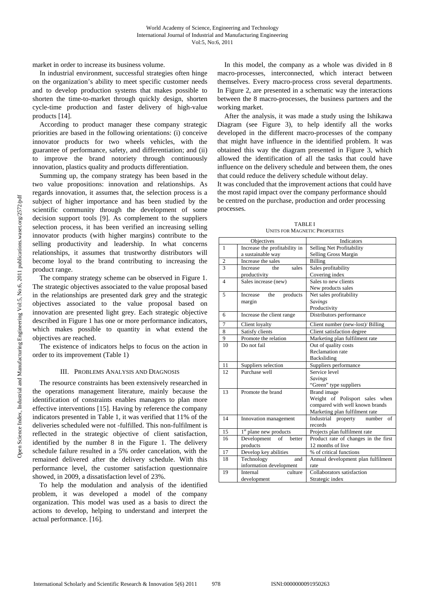market in order to increase its business volume.

In industrial environment, successful strategies often hinge on the organization's ability to meet specific customer needs and to develop production systems that makes possible to shorten the time-to-market through quickly design, shorten cycle-time production and faster delivery of high-value products [14].

According to product manager these company strategic priorities are based in the following orientations: (i) conceive innovator products for two wheels vehicles, with the guarantee of performance, safety, and differentiation; and (ii) to improve the brand notoriety through continuously innovation, plastics quality and products differentiation.

Summing up, the company strategy has been based in the two value propositions: innovation and relationships. As regards innovation, it assumes that, the selection process is a subject of higher importance and has been studied by the scientific community through the development of some decision support tools [9]. As complement to the suppliers selection process, it has been verified an increasing selling innovator products (with higher margins) contribute to the selling productivity and leadership. In what concerns relationships, it assumes that trustworthy distributors will become loyal to the brand contributing to increasing the product range.

The company strategy scheme can be observed in Figure 1. The strategic objectives associated to the value proposal based in the relationships are presented dark grey and the strategic objectives associated to the value proposal based on innovation are presented light grey. Each strategic objective described in Figure 1 has one or more performance indicators, which makes possible to quantity in what extend the objectives are reached.

The existence of indicators helps to focus on the action in order to its improvement (Table 1)

# III. PROBLEMS ANALYSIS AND DIAGNOSIS

The resource constraints has been extensively researched in the operations management literature, mainly because the identification of constraints enables managers to plan more effective interventions [15]. Having by reference the company indicators presented in Table 1, it was verified that 11% of the deliveries scheduled were not -fulfilled. This non-fulfilment is reflected in the strategic objective of client satisfaction, identified by the number 8 in the Figure 1. The delivery schedule failure resulted in a 5% order cancelation, with the remained delivered after the delivery schedule. With this performance level, the customer satisfaction questionnaire showed, in 2009, a dissatisfaction level of 23%.

To help the modulation and analysis of the identified problem, it was developed a model of the company organization. This model was used as a basis to direct the actions to develop, helping to understand and interpret the actual performance. [16].

In this model, the company as a whole was divided in 8 macro-processes, interconnected, which interact between themselves. Every macro-process cross several departments. In Figure 2, are presented in a schematic way the interactions between the 8 macro-processes, the business partners and the working market.

After the analysis, it was made a study using the Ishikawa Diagram (see Figure 3), to help identify all the works developed in the different macro-processes of the company that might have influence in the identified problem. It was obtained this way the diagram presented in Figure 3, which allowed the identification of all the tasks that could have influence on the delivery schedule and between them, the ones that could reduce the delivery schedule without delay.

It was concluded that the improvement actions that could have the most rapid impact over the company performance should be centred on the purchase, production and order processing processes.

| <b>TABLEI</b>                        |
|--------------------------------------|
| <b>UNITS FOR MAGNETIC PROPERTIES</b> |

| Objectives     |                                    | <b>Indicators</b>                    |  |
|----------------|------------------------------------|--------------------------------------|--|
| $\mathbf{1}$   | Increase the profitability in      | Selling Net Profitability            |  |
|                | a sustainable way                  | Selling Gross Margin                 |  |
| $\overline{2}$ | Increase the sales                 | Billing                              |  |
| $\mathbf{3}$   | sales<br>the<br><b>Increase</b>    | Sales profitability                  |  |
|                | productivity                       | Covering index                       |  |
| $\overline{4}$ | Sales increase (new)               | Sales to new clients                 |  |
|                |                                    | New products sales                   |  |
| 5              | <b>Increase</b><br>the<br>products | Net sales profitability              |  |
|                | margin                             | <b>Savings</b>                       |  |
|                |                                    | Productivity                         |  |
| 6              | Increase the client range          | Distributors performance             |  |
| 7              | Client loyalty                     | Client number (new-lost)/ Billing    |  |
| 8              | Satisfy clients                    | Client satisfaction degree           |  |
| 9              | Promote the relation               | Marketing plan fulfilment rate       |  |
| 10             | Do not fail                        | Out of quality costs                 |  |
|                |                                    | <b>Reclamation</b> rate              |  |
|                |                                    | Backsliding                          |  |
| 11             | Suppliers selection                | Suppliers performance                |  |
| 12             | Purchase well                      | Service level                        |  |
|                |                                    | Savings                              |  |
|                |                                    | "Green" type suppliers               |  |
| 13             | Promote the brand                  | <b>Brand</b> image                   |  |
|                |                                    | Weight of Polisport sales when       |  |
|                |                                    | compared with well known brands      |  |
|                |                                    | Marketing plan fulfilment rate       |  |
| 14             | Innovation management              | Industrial property<br>of<br>number  |  |
|                |                                    | records                              |  |
| 15             | 1 <sup>st</sup> plane new products | Projects plan fulfilment rate        |  |
| 16             | Development<br>of<br>better        | Product rate of changes in the first |  |
|                | products                           | 12 months of live                    |  |
| 17             | Develop key abilities              | % of critical functions              |  |
| 18             | Technology<br>and                  | Annual development plan fulfilment   |  |
|                | information development            | rate                                 |  |
| 19             | Internal<br>culture                | Collaborators satisfaction           |  |
|                | development                        | Strategic index                      |  |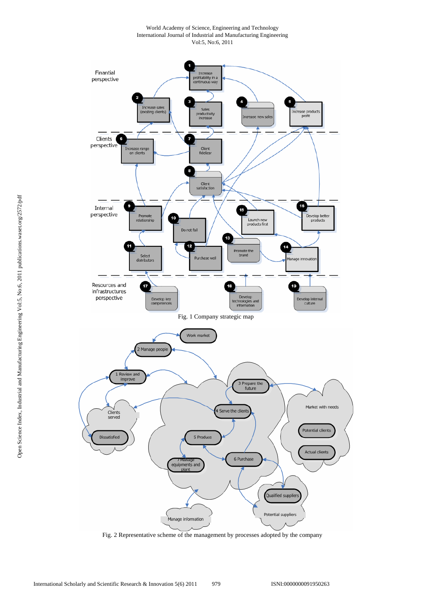World Academy of Science, Engineering and Technology International Journal of Industrial and Manufacturing Engineering Vol:5, No:6, 2011



Fig. 2 Representative scheme of the management by processes adopted by the company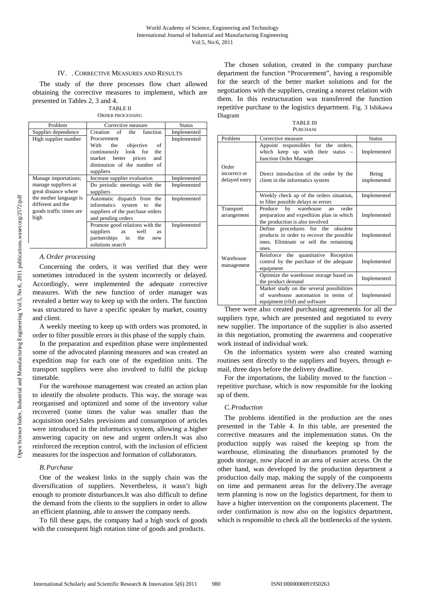# IV. . CORRECTIVE MEASURES AND RESULTS

The study of the three processes flow chart allowed obtaining the corrective measures to implement, which are presented in Tables 2, 3 and 4.

TABLE II ORDER PROCESSING

| Problem                                                                        | Corrective measure                                                                                                                                      |             |
|--------------------------------------------------------------------------------|---------------------------------------------------------------------------------------------------------------------------------------------------------|-------------|
| Supplier dependence                                                            | Creation of the<br>function                                                                                                                             | Implemented |
| High supplier number                                                           | Procurement<br>the objective<br>With<br>- of<br>continuously look for<br>the<br>market better prices<br>and<br>diminution of the number of<br>suppliers | Implemented |
| Manage importations;                                                           | Increase supplier evaluation                                                                                                                            | Implemented |
| manage suppliers at<br>great distance where                                    | Do periodic meetings with the<br>suppliers                                                                                                              | Implemented |
| the mother language is<br>different and the<br>goods traffic times are<br>high | Automatic dispatch from the<br>informatics system to<br>the<br>suppliers of the purchase orders<br>and pending orders                                   | Implemented |
|                                                                                | Promote good relations with the<br>suppliers<br>as<br>well<br><b>as</b><br>partnerships in the<br>new<br>solutions search                               | Implemented |

# *A.Order processing*

Concerning the orders, it was verified that they were sometimes introduced in the system incorrectly or delayed. Accordingly, were implemented the adequate corrective measures. With the new function of order manager was revealed a better way to keep up with the orders. The function was structured to have a specific speaker by market, country and client.

A weekly meeting to keep up with orders was promoted, in order to filter possible errors in this phase of the supply chain.

In the preparation and expedition phase were implemented some of the advocated planning measures and was created an expedition map for each one of the expedition units. The transport suppliers were also involved to fulfil the pickup timetable.

For the warehouse management was created an action plan to identify the obsolete products. This way, the storage was reorganised and optimized and some of the inventory value recovered (some times the value was smaller than the acquisition one).Sales previsions and consumption of articles were introduced in the informatics system, allowing a higher answering capacity on new and urgent orders.It was also reinforced the reception control, with the inclusion of efficient measures for the inspection and formation of collaborators.

#### *B.Purchase*

One of the weakest links in the supply chain was the diversification of suppliers. Nevertheless, it wasn't high enough to promote disturbances.It was also difficult to define the demand from the clients to the suppliers in order to allow an efficient planning, able to answer the company needs.

To fill these gaps, the company had a high stock of goods with the consequent high rotation time of goods and products.

The chosen solution, created in the company purchase department the function "Procurement", having a responsible for the search of the better market solutions and for the negotiations with the suppliers, creating a nearest relation with them. In this restructuration was transferred the function repetitive purchase to the logistics department. Fig. 3 Ishikawa Diagram

TABLE III **PURCHASE** 

| Problem                                | Corrective measure                                                                                                                | <b>Status</b>        |
|----------------------------------------|-----------------------------------------------------------------------------------------------------------------------------------|----------------------|
|                                        | Appoint responsibles for the orders,<br>which keep up with their status<br>function Order Manager                                 | Implemented          |
| Order<br>incorrect or<br>delayed entry | Direct introduction of the order by the<br>client in the informatics system                                                       | Being<br>implemented |
|                                        | Weekly check up of the orders situation,<br>to filter possible delays or errors                                                   | Implemented          |
| Transport<br>arrangement               | by<br>warehouse<br>order<br>Produce<br>an<br>preparation and expedition plan in which<br>the production is also involved          | Implemented          |
|                                        | Define procedures for the obsolete<br>products in order to recover the possible<br>ones. Eliminate or sell the remaining<br>ones. | Implemented          |
| Warehouse<br>management                | Reinforce the quantitative Reception<br>control by the purchase of the adequate<br>equipment                                      | Implemented          |
|                                        | Optimize the warehouse storage based on<br>the product demand                                                                     | Implemented          |
|                                        | Market study on the several possibilities<br>of warehouse automation in terms of<br>equipment (rfid) and software                 | Implemented          |

There were also created purchasing agreements for all the suppliers type, which are presented and negotiated to every new supplier. The importance of the supplier is also asserted in this negotiation, promoting the awareness and cooperative work instead of individual work.

On the informatics system were also created warning routines sent directly to the suppliers and buyers, through email, three days before the delivery deadline.

For the importations, the liability moved to the function – repetitive purchase, which is now responsible for the looking up of them.

# *C.Production*

The problems identified in the production are the ones presented in the Table 4. In this table, are presented the corrective measures and the implementation status. On the production supply was raised the keeping up from the warehouse, eliminating the disturbances promoted by the goods storage, now placed in an area of easier access. On the other hand, was developed by the production department a production daily map, making the supply of the components on time and permanent areas for the delivery.The average term planning is now on the logistics department, for them to have a higher intervention on the components placement. The order confirmation is now also on the logistics department, which is responsible to check all the bottlenecks of the system.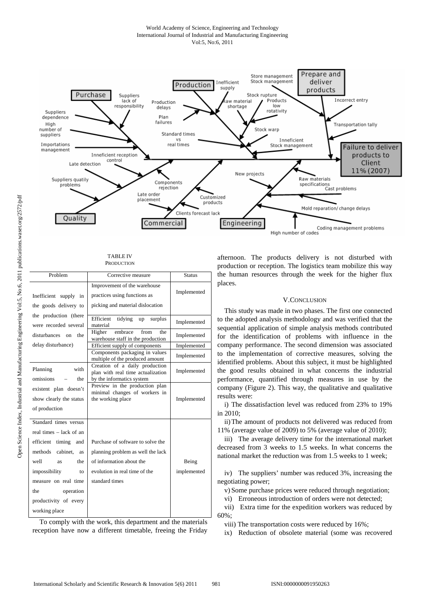# World Academy of Science, Engineering and Technology International Journal of Industrial and Manufacturing Engineering Vol:5, No:6, 2011



#### TABLE IV PRODUCTION

| Problem                                                                                                                                                                                                                                     | Corrective measure                                                                                                                                    | <b>Status</b>        |
|---------------------------------------------------------------------------------------------------------------------------------------------------------------------------------------------------------------------------------------------|-------------------------------------------------------------------------------------------------------------------------------------------------------|----------------------|
| Inefficient supply in<br>the goods delivery to                                                                                                                                                                                              | Improvement of the warehouse<br>practices using functions as<br>picking and material dislocation                                                      | Implemented          |
| the production (there<br>were recorded several                                                                                                                                                                                              | Efficient tidying<br>surplus<br>up<br>material                                                                                                        | Implemented          |
| disturbances on<br>the                                                                                                                                                                                                                      | embrace<br>from<br>Higher<br>the<br>warehouse staff in the production                                                                                 | Implemented          |
| delay disturbance)                                                                                                                                                                                                                          | Efficient supply of components                                                                                                                        | Implemented          |
|                                                                                                                                                                                                                                             | Components packaging in values<br>multiple of the produced amount                                                                                     | Implemented          |
| Planning<br>with<br>omissions<br>the                                                                                                                                                                                                        | Creation of a daily production<br>plan with real time actualization<br>by the informatics system                                                      | Implemented          |
| existent plan doesn't<br>show clearly the status<br>of production                                                                                                                                                                           | Preview in the production plan<br>minimal changes of workers in<br>the working place                                                                  | Implemented          |
| Standard times versus<br>real times – lack of an<br>efficient timing and<br>methods<br>cabinet, as<br>well<br>the<br><b>as</b><br>impossibility<br>to<br>measure on real time<br>the<br>operation<br>productivity of every<br>working place | Purchase of software to solve the<br>planning problem as well the lack<br>of information about the<br>evolution in real time of the<br>standard times | Being<br>implemented |

To comply with the work, this department and the materials reception have now a different timetable, freeing the Friday afternoon. The products delivery is not disturbed with production or reception. The logistics team mobilize this way the human resources through the week for the higher flux places.

# V.CONCLUSION

This study was made in two phases. The first one connected to the adopted analysis methodology and was verified that the sequential application of simple analysis methods contributed for the identification of problems with influence in the company performance. The second dimension was associated to the implementation of corrective measures, solving the identified problems. About this subject, it must be highlighted the good results obtained in what concerns the industrial performance, quantified through measures in use by the company (Figure 2). This way, the qualitative and qualitative results were:

i) The dissatisfaction level was reduced from 23% to 19% in 2010;

ii) The amount of products not delivered was reduced from 11% (average value of 2009) to 5% (average value of 2010);

iii) The average delivery time for the international market decreased from 3 weeks to 1.5 weeks. In what concerns the national market the reduction was from 1.5 weeks to 1 week;

iv) The suppliers' number was reduced 3%, increasing the negotiating power;

v) Some purchase prices were reduced through negotiation;

vi) Erroneous introduction of orders were not detected;

vii) Extra time for the expedition workers was reduced by 60%;

viii) The transportation costs were reduced by 16%;

ix) Reduction of obsolete material (some was recovered